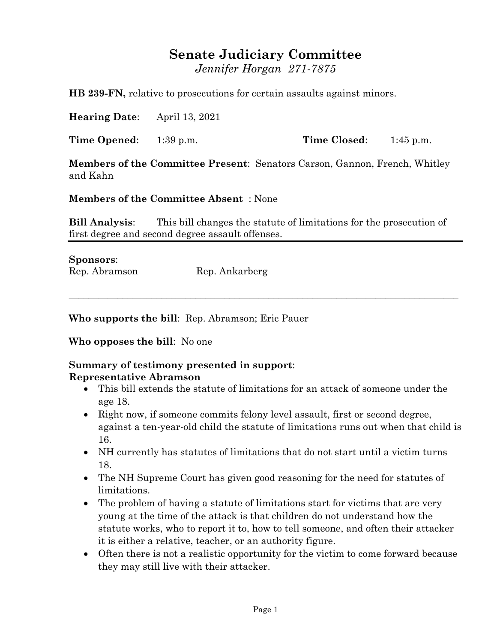## **Senate Judiciary Committee**

*Jennifer Horgan 271-7875*

**HB 239-FN,** relative to prosecutions for certain assaults against minors.

**Hearing Date**: April 13, 2021

**Time Opened**: 1:39 p.m. **Time Closed**: 1:45 p.m.

**Members of the Committee Present**: Senators Carson, Gannon, French, Whitley and Kahn

**Members of the Committee Absent** : None

**Bill Analysis**: This bill changes the statute of limitations for the prosecution of first degree and second degree assault offenses.

 $\_$  , and the set of the set of the set of the set of the set of the set of the set of the set of the set of the set of the set of the set of the set of the set of the set of the set of the set of the set of the set of th

**Sponsors**: Rep. Abramson Rep. Ankarberg

**Who supports the bill**: Rep. Abramson; Eric Pauer

**Who opposes the bill**: No one

## **Summary of testimony presented in support**: **Representative Abramson**

- This bill extends the statute of limitations for an attack of someone under the age 18.
- Right now, if someone commits felony level assault, first or second degree, against a ten-year-old child the statute of limitations runs out when that child is 16.
- NH currently has statutes of limitations that do not start until a victim turns 18.
- The NH Supreme Court has given good reasoning for the need for statutes of limitations.
- The problem of having a statute of limitations start for victims that are very young at the time of the attack is that children do not understand how the statute works, who to report it to, how to tell someone, and often their attacker it is either a relative, teacher, or an authority figure.
- Often there is not a realistic opportunity for the victim to come forward because they may still live with their attacker.